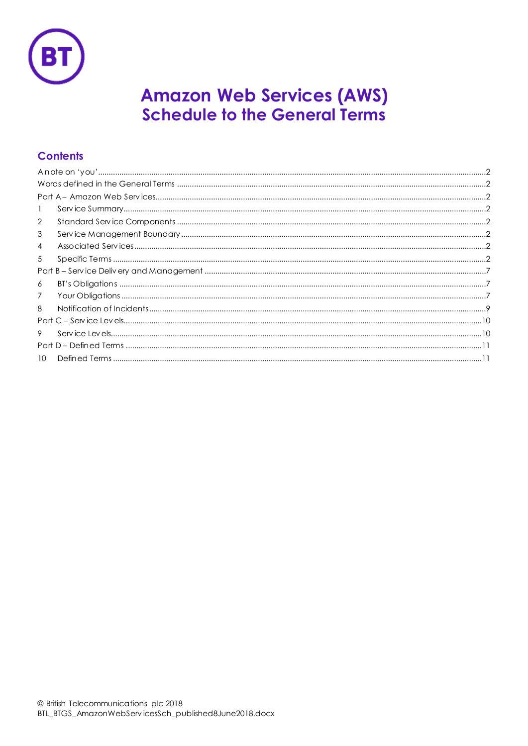

# **Amazon Web Services (AWS) Schedule to the General Terms**

# **Contents**

| $\mathbf{1}$    |
|-----------------|
| 2               |
| 3               |
| $\overline{4}$  |
| 5               |
|                 |
| 6               |
| 7               |
| 8               |
|                 |
| 9               |
|                 |
| 10 <sup>1</sup> |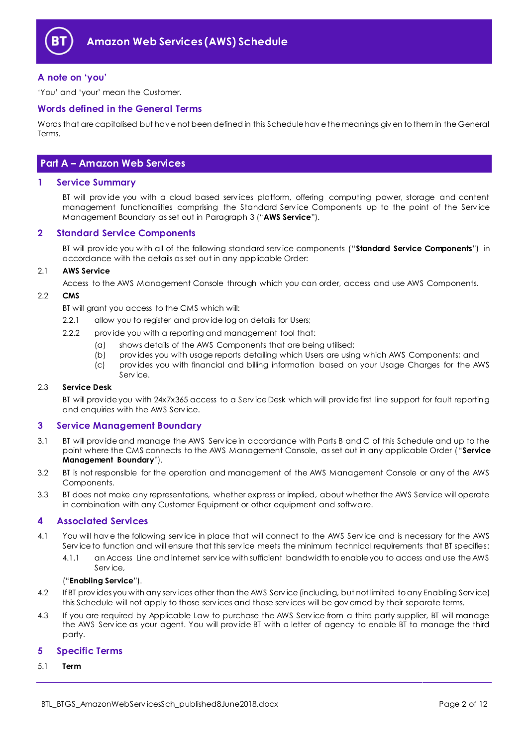

#### <span id="page-1-0"></span>**A note on 'you'**

'You' and 'your' mean the Customer.

#### <span id="page-1-1"></span>**Words defined in the General Terms**

Words that are capitalised but hav e not been defined in this Schedule hav e the meanings giv en to them in the General Terms.

## <span id="page-1-2"></span>**Part A – Amazon Web Services**

#### <span id="page-1-3"></span>**1 Service Summary**

BT will prov ide you with a cloud based serv ices platform, offering computing power, storage and content management functionalities comprising the Standard Service Components up to the point of the Service Management Boundary as set out in Paragraph [3](#page-1-5) ("**AWS Service**").

#### <span id="page-1-4"></span>**2 Standard Service Components**

BT will prov ide you with all of the following standard serv ice components ("**Standard Service Components**") in accordance with the details as set out in any applicable Order:

#### 2.1 **AWS Service**

Access to the AWS Management Console through which you can order, access and use AWS Components.

#### <span id="page-1-8"></span>2.2 **CMS**

BT will grant you access to the CMS which will:

- 2.2.1 allow you to register and prov ide log on details for Users;
- 2.2.2 prov ide you with a reporting and management tool that:
	- (a) shows details of the AWS Components that are being utilised;
	- (b) prov ides you with usage reports detailing which Users are using which AWS Components; and (c) prov ides you with financial and billing information based on your Usage Charges for the AWS
	- Serv ice.

#### 2.3 **Service Desk**

BT will prov ide you with 24x7x365 access to a Serv ice Desk which will prov ide first line support for fault reporting and enquiries with the AWS Serv ice.

#### <span id="page-1-5"></span>**3 Service Management Boundary**

- <span id="page-1-10"></span>3.1 BT will prov ide and manage the AWS Serv ice in accordance with Parts B and C of this Schedule and up to the point where the CMS connects to the AWS Management Console, as set out in any applicable Order ("**Service Management Boundary**").
- 3.2 BT is not responsible for the operation and management of the AWS Management Console or any of the AWS Components.
- 3.3 BT does not make any representations, whether express or implied, about whether the AWS Serv ice will operate in combination with any Customer Equipment or other equipment and software.

#### <span id="page-1-6"></span>**4 Associated Services**

- <span id="page-1-9"></span>4.1 You will hav e the following serv ice in place that will connect to the AWS Serv ice and is necessary for the AWS Service to function and will ensure that this service meets the minimum technical requirements that BT specifies:
	- 4.1.1 an Access Line and internet serv ice with sufficient bandwidth to enable you to access and use the AWS Serv ice,

#### ("**Enabling Service**").

- 4.2 If BT prov ides you with any serv ices other than the AWS Serv ice (including, but not limited to any Enabling Serv ice) this Schedule will not apply to those serv ices and those serv ices will be gov erned by their separate terms.
- 4.3 If you are required by Applicable Law to purchase the AWS Serv ice from a third party supplier, BT will manage the AWS Serv ice as your agent. You will prov ide BT with a letter of agency to enable BT to manage the third party.

#### <span id="page-1-7"></span>**5 Specific Terms**

#### 5.1 **Term**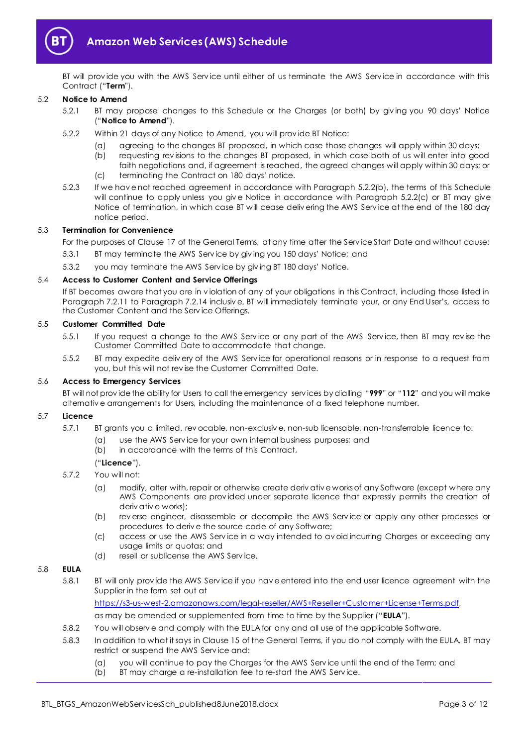

BT will prov ide you with the AWS Serv ice until either of us terminate the AWS Serv ice in accordance with this Contract ("**Term**").

#### <span id="page-2-4"></span>5.2 **Notice to Amend**

- 5.2.1 BT may propose changes to this Schedule or the Charges (or both) by giv ing you 90 days' Notice ("**Notice to Amend**").
- <span id="page-2-0"></span>5.2.2 Within 21 days of any Notice to Amend, you will prov ide BT Notice:
	- (a) agreeing to the changes BT proposed, in which case those changes will apply within 30 days;
	- (b) requesting rev isions to the changes BT proposed, in which case both of us will enter into good faith negotiations and, if agreement is reached, the agreed changes will apply within 30 days; or
	- (c) terminating the Contract on 180 days' notice.
- <span id="page-2-1"></span>5.2.3 If we hav e not reached agreement in accordance with Paragraph [5.2.2\(b\),](#page-2-0) the terms of this Schedule will continue to apply unless you give Notice in accordance with Paragraph [5.2.2\(c\)](#page-2-1) or BT may give Notice of termination, in which case BT will cease deliv ering the AWS Serv ice at the end of the 180 day notice period.

#### 5.3 **Termination for Convenience**

For the purposes of Clause 17 of the General Terms, at any time after the Serv ice Start Date and without cause:

- 5.3.1 BT may terminate the AWS Serv ice by giv ing you 150 days' Notice; and
- 5.3.2 you may terminate the AWS Serv ice by giv ing BT 180 days' Notice.

#### 5.4 **Access to Customer Content and Service Offerings**

If BT becomes aware that you are in v iolation of any of your obligations in this Contract, including those listed in Paragraph [7.2.11](#page-7-0) to Paragraph [7.2.14](#page-7-1) inclusiv e, BT will immediately terminate your, or any End User's, access to the Customer Content and the Serv ice Offerings.

#### 5.5 **Customer Committed Date**

- 5.5.1 If you request a change to the AWS Serv ice or any part of the AWS Serv ice, then BT may rev ise the Customer Committed Date to accommodate that change.
- 5.5.2 BT may expedite deliv ery of the AWS Serv ice for operational reasons or in response to a request from you, but this will not rev ise the Customer Committed Date.

#### 5.6 **Access to Emergency Services**

BT will not prov ide the ability for Users to call the emergency serv ices by dialling "**999**" or "**112**" and you will make alternativ e arrangements for Users, including the maintenance of a fixed telephone number.

#### <span id="page-2-3"></span>5.7 **Licence**

- 5.7.1 BT grants you a limited, rev ocable, non-exclusiv e, non-sub licensable, non-transferrable licence to:
	- (a) use the AWS Serv ice for your own internal business purposes; and
	- (b) in accordance with the terms of this Contract,

#### ("**Licence**").

- 5.7.2 You will not:
	- (a) modify, alter with, repair or otherwise create deriv ativ e works of any Software (except where any AWS Components are prov ided under separate licence that expressly permits the creation of deriv ativ e works);
	- (b) rev erse engineer, disassemble or decompile the AWS Serv ice or apply any other processes or procedures to deriv e the source code of any Software;
	- (c) access or use the AWS Serv ice in a way intended to av oid incurring Charges or exceeding any usage limits or quotas; and
	- (d) resell or sublicense the AWS Serv ice.

#### <span id="page-2-2"></span>5.8 **EULA**

5.8.1 BT will only prov ide the AWS Serv ice if you hav e entered into the end user licence agreement with the Supplier in the form set out at

[https://s3-us-west-2.amazonaws.com/legal-reseller/AWS+Reseller+Customer+License+Terms.pdf,](https://s3-us-west-2.amazonaws.com/legal-reseller/AWS+Reseller+Customer+License+Terms.pdf)

as may be amended or supplemented from time to time by the Supplier ("**EULA**").

- 5.8.2 You will observ e and comply with the EULA for any and all use of the applicable Software.
- 5.8.3 In addition to what it says in Clause 15 of the General Terms, if you do not comply with the EULA, BT may restrict or suspend the AWS Serv ice and:
	- (a) you will continue to pay the Charges for the AWS Serv ice until the end of the Term; and
	- (b) BT may charge a re-installation fee to re-start the AWS Serv ice.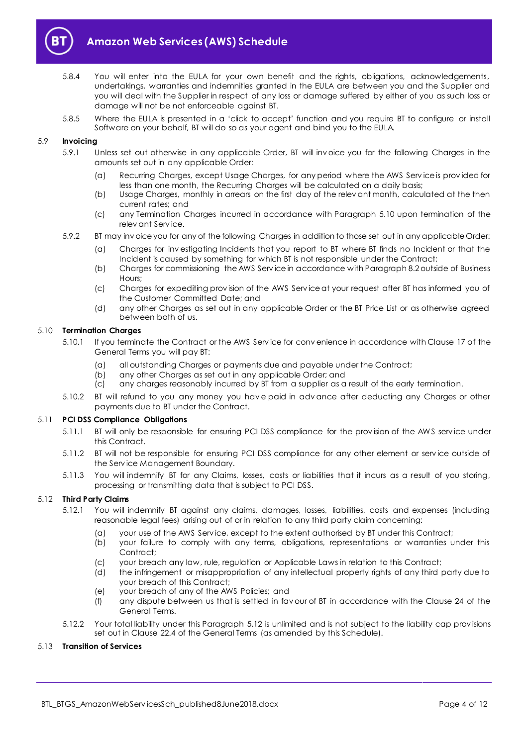

- 5.8.4 You will enter into the EULA for your own benefit and the rights, obligations, acknowledgements, undertakings, warranties and indemnities granted in the EULA are between you and the Supplier and you will deal with the Supplier in respect of any loss or damage suffered by either of you as such loss or damage will not be not enforceable against BT.
- 5.8.5 Where the EULA is presented in a 'click to accept' function and you require BT to configure or install Software on your behalf, BT will do so as your agent and bind you to the EULA.

#### 5.9 **Invoicing**

- 5.9.1 Unless set out otherwise in any applicable Order, BT will inv oice you for the following Charges in the amounts set out in any applicable Order:
	- (a) Recurring Charges, except Usage Charges, for any period where the AWS Serv ice is prov ided for less than one month, the Recurring Charges will be calculated on a daily basis;
	- (b) Usage Charges, monthly in arrears on the first day of the relev ant month, calculated at the then current rates; and
	- (c) any Termination Charges incurred in accordance with Paragraph [5.10](#page-3-0) upon termination of the relev ant Serv ice.
- 5.9.2 BT may inv oice you for any of the following Charges in addition to those set out in any applicable Order:
	- (a) Charges for inv estigating Incidents that you report to BT where BT finds no Incident or that the Incident is caused by something for which BT is not responsible under the Contract;
	- (b) Charges for commissioning the AWS Serv ice in accordance with Paragrap[h 8.2](#page-8-1) outside of Business Hours;
	- (c) Charges for expediting prov ision of the AWS Serv ice at your request after BT has informed you of the Customer Committed Date; and
	- (d) any other Charges as set out in any applicable Order or the BT Price List or as otherwise agreed between both of us.

#### <span id="page-3-0"></span>5.10 **Termination Charges**

- 5.10.1 If you terminate the Contract or the AWS Serv ice for conv enience in accordance with Clause 17 of the General Terms you will pay BT:
	- (a) all outstanding Charges or payments due and payable under the Contract;
	- (b) any other Charges as set out in any applicable Order; and
	- (c) any charges reasonably incurred by BT from a supplier as a result of the early termination.
- 5.10.2 BT will refund to you any money you hav e paid in adv ance after deducting any Charges or other payments due to BT under the Contract.

#### 5.11 **PCI DSS Compliance Obligations**

- 5.11.1 BT will only be responsible for ensuring PCI DSS compliance for the prov ision of the AWS serv ice under this Contract.
- 5.11.2 BT will not be responsible for ensuring PCI DSS compliance for any other element or serv ice outside of the Serv ice Management Boundary.
- 5.11.3 You will indemnify BT for any Claims, losses, costs or liabilities that it incurs as a result of you storing, processing or transmitting data that is subject to PCI DSS.

#### <span id="page-3-1"></span>5.12 **Third Party Claims**

- 5.12.1 You will indemnify BT against any claims, damages, losses, liabilities, costs and expenses (including reasonable legal fees) arising out of or in relation to any third party claim concerning:
	- (a) your use of the AWS Serv ice, except to the extent authorised by BT under this Contract;
	- (b) your failure to comply with any terms, obligations, representations or warranties under this Contract;
	- (c) your breach any law, rule, regulation or Applicable Laws in relation to this Contract;
	- (d) the infringement or misappropriation of any intellectual property rights of any third party due to your breach of this Contract;
	- (e) your breach of any of the AWS Policies; and
	- (f) any dispute between us that is settled in fav our of BT in accordance with the Clause 24 of the General Terms.
- 5.12.2 Your total liability under this Paragraph [5.12](#page-3-1) is unlimited and is not subject to the liability cap prov isions set out in Clause 22.4 of the General Terms (as amended by this Schedule).

#### <span id="page-3-2"></span>5.13 **Transition of Services**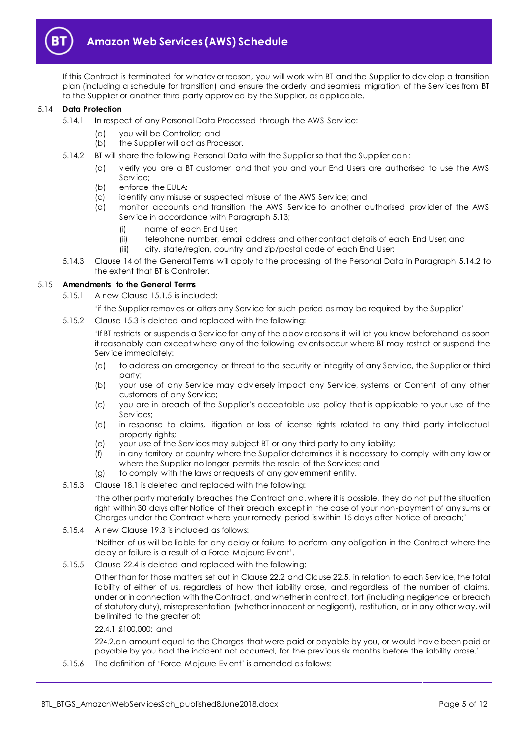

If this Contract is terminated for whatev er reason, you will work with BT and the Supplier to dev elop a transition plan (including a schedule for transition) and ensure the orderly and seamless migration of the Serv ices from BT to the Supplier or another third party approv ed by the Supplier, as applicable.

#### 5.14 **Data Protection**

- <span id="page-4-0"></span>5.14.1 In respect of any Personal Data Processed through the AWS Service:
	- (a) you will be Controller; and
	- (b) the Supplier will act as Processor.
	- 5.14.2 BT will share the following Personal Data with the Supplier so that the Supplier can:
		- (a) v erify you are a BT customer and that you and your End Users are authorised to use the AWS Serv ice;
		- (b) enforce the EULA;
		- (c) identify any misuse or suspected misuse of the AWS Serv ice; and
		- (d) monitor accounts and transition the AWS Serv ice to another authorised prov ider of the AWS Serv ice in accordance with Paragrap[h 5.13;](#page-3-2)
			- (i) name of each End User;
			- (ii) telephone number, email address and other contact details of each End User; and
			- (iii) city, state/region, country and zip/postal code of each End User;
	- 5.14.3 Clause 14 of the General Terms will apply to the processing of the Personal Data in Paragrap[h 5.14.2](#page-4-0) to the extent that BT is Controller.

#### 5.15 **Amendments to the General Terms**

- 5.15.1 A new Clause 15.1.5 is included:
	- 'if the Supplier remov es or alters any Serv ice for such period as may be required by the Supplier'
- 5.15.2 Clause 15.3 is deleted and replaced with the following:

'If BT restricts or suspends a Serv ice for any of the abov e reasons it will let you know beforehand as soon it reasonably can except where any of the following ev ents occur where BT may restrict or suspend the Serv ice immediately:

- (a) to address an emergency or threat to the security or integrity of any Serv ice, the Supplier or third party;
- (b) your use of any Serv ice may adv ersely impact any Serv ice, systems or Content of any other customers of any Serv ice;
- (c) you are in breach of the Supplier's acceptable use policy that is applicable to your use of the Serv ices;
- (d) in response to claims, litigation or loss of license rights related to any third party intellectual property rights;
- (e) your use of the Serv ices may subject BT or any third party to any liability;
- (f) in any territory or country where the Supplier determines it is necessary to comply with any law or where the Supplier no longer permits the resale of the Serv ices; and
- (g) to comply with the laws or requests of any gov ernment entity.
- 5.15.3 Clause 18.1 is deleted and replaced with the following:

'the other party materially breaches the Contract and, where it is possible, they do not put the situation right within 30 days after Notice of their breach except in the case of your non-payment of any sums or Charges under the Contract where your remedy period is within 15 days after Notice of breach;'

#### 5.15.4 A new Clause 19.3 is included as follows:

'Neither of us will be liable for any delay or failure to perform any obligation in the Contract where the delay or failure is a result of a Force Majeure Ev ent'.

5.15.5 Clause 22.4 is deleted and replaced with the following:

Other than for those matters set out in Clause 22.2 and Clause 22.5, in relation to each Serv ice, the total liability of either of us, regardless of how that liability arose, and regardless of the number of claims, under or in connection with the Contract, and whether in contract, tort (including negligence or breach of statutory duty), misrepresentation (whether innocent or negligent), restitution, or in any other way, will be limited to the greater of:

#### 22.4.1 £100,000; and

224.2.an amount equal to the Charges that were paid or payable by you, or would hav e been paid or payable by you had the incident not occurred, for the prev ious six months before the liability arose.'

5.15.6 The definition of 'Force Majeure Ev ent' is amended as follows: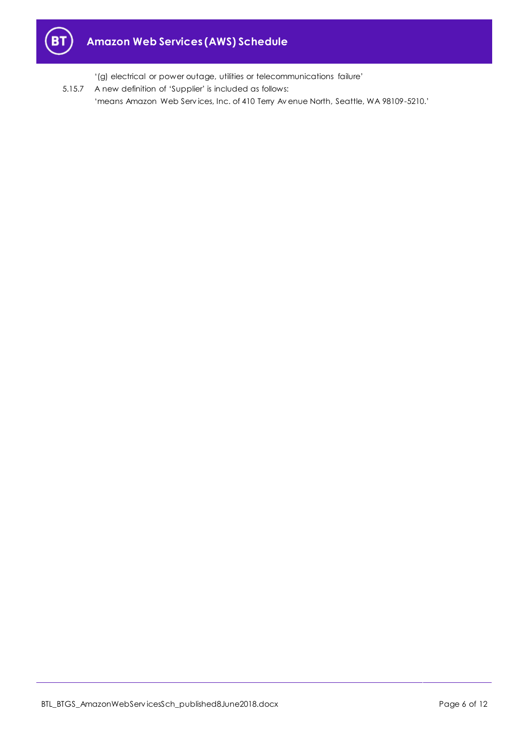

'(g) electrical or power outage, utilities or telecommunications failure'

5.15.7 A new definition of 'Supplier' is included as follows: 'means Amazon Web Serv ices, Inc. of 410 Terry Av enue North, Seattle, WA 98109-5210.'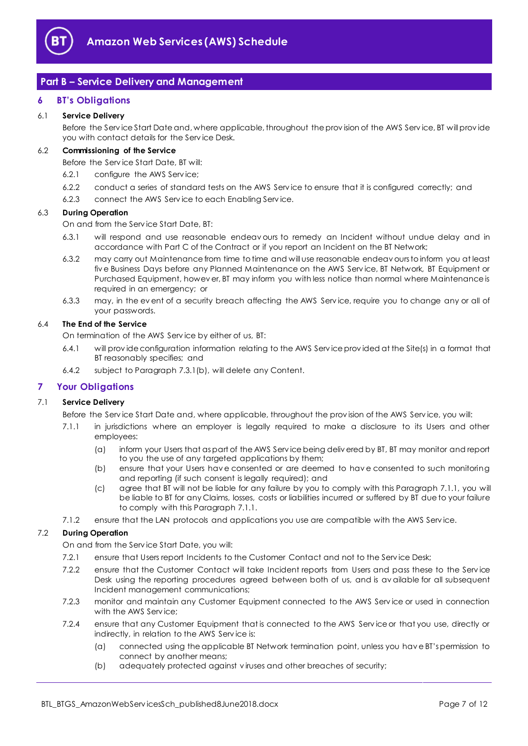

# <span id="page-6-0"></span>**Part B – Service Delivery and Management**

#### <span id="page-6-1"></span>**6 BT's Obligations**

#### 6.1 **Service Delivery**

Before the Serv ice Start Date and, where applicable, throughout the prov ision of the AWS Serv ice, BT will prov ide you with contact details for the Serv ice Desk.

#### 6.2 **Commissioning of the Service**

Before the Serv ice Start Date, BT will:

- 6.2.1 configure the AWS Serv ice;
- 6.2.2 conduct a series of standard tests on the AWS Serv ice to ensure that it is configured correctly; and
- 6.2.3 connect the AWS Serv ice to each Enabling Serv ice.

#### 6.3 **During Operation**

On and from the Serv ice Start Date, BT:

- 6.3.1 will respond and use reasonable endeav ours to remedy an Incident without undue delay and in accordance with Part C of the Contract or if you report an Incident on the BT Network;
- 6.3.2 may carry out Maintenance from time to time and will use reasonable endeav ours to inform you at least fiv e Business Days before any Planned Maintenance on the AWS Serv ice, BT Network, BT Equipment or Purchased Equipment, howev er, BT may inform you with less notice than normal where Maintenance is required in an emergency; or
- 6.3.3 may, in the ev ent of a security breach affecting the AWS Serv ice, require you to change any or all of your passwords.

#### 6.4 **The End of the Service**

On termination of the AWS Serv ice by either of us, BT:

- 6.4.1 will prov ide configuration information relating to the AWS Serv ice prov ided at the Site(s) in a format that BT reasonably specifies; and
- 6.4.2 subject to Paragrap[h 7.3.1\(b\),](#page-7-2) will delete any Content.

#### <span id="page-6-2"></span>**7 Your Obligations**

#### <span id="page-6-3"></span>7.1 **Service Delivery**

- Before the Serv ice Start Date and, where applicable, throughout the prov ision of the AWS Serv ice, you will:
	- 7.1.1 in jurisdictions where an employer is legally required to make a disclosure to its Users and other employees:
		- (a) inform your Users that as part of the AWS Serv ice being deliv ered by BT, BT may monitor and report to you the use of any targeted applications by them;
		- (b) ensure that your Users hav e consented or are deemed to hav e consented to such monitoring and reporting (if such consent is legally required); and
		- (c) agree that BT will not be liable for any failure by you to comply with this Paragraph [7.1.1,](#page-6-3) you will be liable to BT for any Claims, losses, costs or liabilities incurred or suffered by BT due to your failure to comply with this Paragrap[h 7.1.1.](#page-6-3)
- 7.1.2 ensure that the LAN protocols and applications you use are compatible with the AWS Serv ice.

#### 7.2 **During Operation**

On and from the Serv ice Start Date, you will:

- 7.2.1 ensure that Users report Incidents to the Customer Contact and not to the Service Desk;
- 7.2.2 ensure that the Customer Contact will take Incident reports from Users and pass these to the Serv ice Desk using the reporting procedures agreed between both of us, and is av ailable for all subsequent Incident management communications;
- 7.2.3 monitor and maintain any Customer Equipment connected to the AWS Serv ice or used in connection with the AWS Service:
- 7.2.4 ensure that any Customer Equipment that is connected to the AWS Serv ice or that you use, directly or indirectly, in relation to the AWS Serv ice is:
	- (a) connected using the applicable BT Network termination point, unless you hav e BT's permission to connect by another means;
	- (b) adequately protected against v iruses and other breaches of security;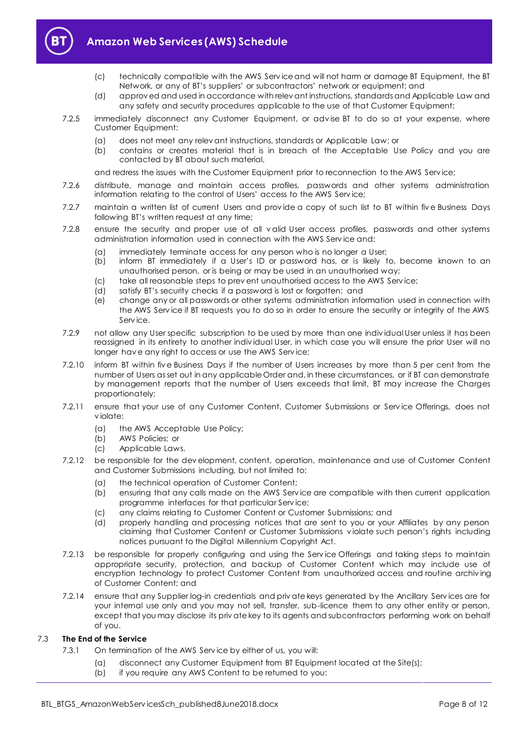

# **Amazon Web Services (AWS) Schedule**

- (c) technically compatible with the AWS Serv ice and will not harm or damage BT Equipment, the BT Network, or any of BT's suppliers' or subcontractors' network or equipment; and
- (d) approv ed and used in accordance with relev ant instructions, standards and Applicable Law and any safety and security procedures applicable to the use of that Customer Equipment;
- 7.2.5 immediately disconnect any Customer Equipment, or adv ise BT to do so at your expense, where Customer Equipment:
	- (a) does not meet any relev ant instructions, standards or Applicable Law; or
	- (b) contains or creates material that is in breach of the Acceptable Use Policy and you are contacted by BT about such material,

and redress the issues with the Customer Equipment prior to reconnection to the AWS Serv ice;

- 7.2.6 distribute, manage and maintain access profiles, passwords and other systems administration information relating to the control of Users' access to the AWS Serv ice;
- 7.2.7 maintain a written list of current Users and prov ide a copy of such list to BT within fiv e Business Days following BT's written request at any time;
- 7.2.8 ensure the security and proper use of all v alid User access profiles, passwords and other systems administration information used in connection with the AWS Serv ice and:
	- (a) immediately terminate access for any person who is no longer a User;
	- (b) inform BT immediately if a User's ID or password has, or is likely to, become known to an unauthorised person, or is being or may be used in an unauthorised way;
	- (c) take all reasonable steps to prev ent unauthorised access to the AWS Serv ice;
	- (d) satisfy BT's security checks if a password is lost or forgotten; and
	- (e) change any or all passwords or other systems administration information used in connection with the AWS Serv ice if BT requests you to do so in order to ensure the security or integrity of the AWS Serv ice.
- 7.2.9 not allow any User specific subscription to be used by more than one indiv idual User unless it has been reassigned in its entirety to another indiv idual User, in which case you will ensure the prior User will no longer hav e any right to access or use the AWS Serv ice;
- 7.2.10 inform BT within fiv e Business Days if the number of Users increases by more than 5 per cent from the number of Users as set out in any applicable Order and, in these circumstances, or if BT can demonstrate by management reports that the number of Users exceeds that limit, BT may increase the Charges proportionately;
- <span id="page-7-0"></span>7.2.11 ensure that your use of any Customer Content, Customer Submissions or Serv ice Offerings, does not v iolate:
	- (a) the AWS Acceptable Use Policy;
	- (b) AWS Policies; or
	- (c) Applicable Laws.
- 7.2.12 be responsible for the dev elopment, content, operation, maintenance and use of Customer Content and Customer Submissions including, but not limited to:
	- (a) the technical operation of Customer Content;
	- (b) ensuring that any calls made on the AWS Serv ice are compatible with then current application programme interfaces for that particular Serv ice;
	- (c) any claims relating to Customer Content or Customer Submissions; and
	- (d) properly handling and processing notices that are sent to you or your Affiliates by any person claiming that Customer Content or Customer Submissions v iolate such person's rights including notices pursuant to the Digital Millennium Copyright Act.
- 7.2.13 be responsible for properly configuring and using the Serv ice Offerings and taking steps to maintain appropriate security, protection, and backup of Customer Content which may include use of encryption technology to protect Customer Content from unauthorized access and routine archiv ing of Customer Content; and
- <span id="page-7-1"></span>7.2.14 ensure that any Supplier log-in credentials and priv ate keys generated by the Ancillary Serv ices are for your internal use only and you may not sell, transfer, sub-licence them to any other entity or person, except that you may disclose its priv ate key to its agents and subcontractors performing work on behalf of you.

#### <span id="page-7-2"></span>7.3 **The End of the Service**

- 7.3.1 On termination of the AWS Serv ice by either of us, you will:
	- (a) disconnect any Customer Equipment from BT Equipment located at the Site(s);
	- (b) if you require any AWS Content to be returned to you: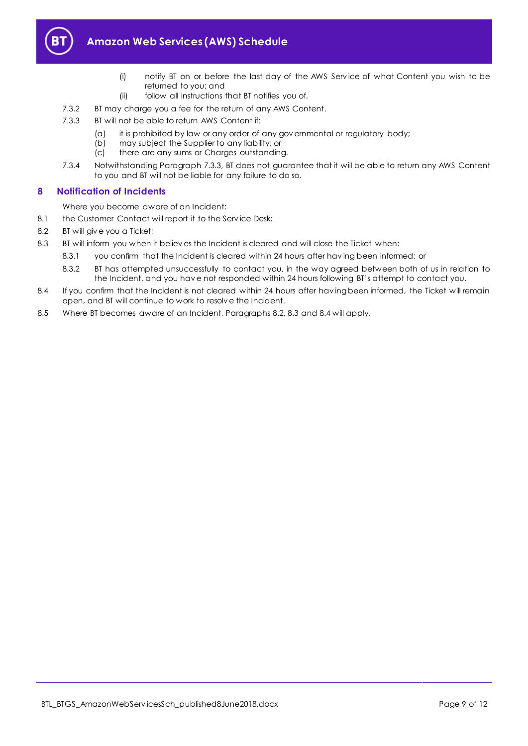

- (i) notify BT on or before the last day of the AWS Serv ice of what Content you wish to be returned to you; and
- (ii) follow all instructions that BT notifies you of.
- 7.3.2 BT may charge you a fee for the return of any AWS Content.
- <span id="page-8-2"></span>7.3.3 BT will not be able to return AWS Content if:
	- (a) it is prohibited by law or any order of any gov ernmental or regulatory body;
	- (b) may subject the Supplier to any liability; or
	- (c) there are any sums or Charges outstanding.
- 7.3.4 Notwithstanding Paragraph [7.3.3,](#page-8-2) BT does not guarantee that it will be able to return any AWS Content to you and BT will not be liable for any failure to do so.

### <span id="page-8-0"></span>**8 Notification of Incidents**

Where you become aware of an Incident:

- 8.1 the Customer Contact will report it to the Service Desk;
- <span id="page-8-1"></span>8.2 BT will giv e you a Ticket;
- <span id="page-8-3"></span>8.3 BT will inform you when it believ es the Incident is cleared and will close the Ticket when:
	- 8.3.1 you confirm that the Incident is cleared within 24 hours after hav ing been informed; or
		- 8.3.2 BT has attempted unsuccessfully to contact you, in the way agreed between both of us in relation to the Incident, and you hav e not responded within 24 hours following BT's attempt to contact you.
- <span id="page-8-4"></span>8.4 If you confirm that the Incident is not cleared within 24 hours after having been informed, the Ticket will remain open, and BT will continue to work to resolv e the Incident.
- 8.5 Where BT becomes aware of an Incident, Paragraphs [8.2,](#page-8-1) [8.3](#page-8-3) and [8.4](#page-8-4) will apply.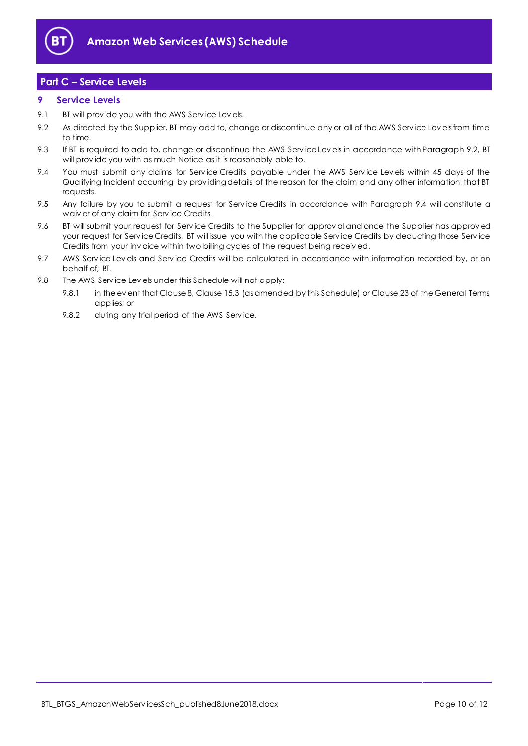

# <span id="page-9-0"></span>**Part C – Service Levels**

#### <span id="page-9-1"></span>**9 Service Levels**

- 9.1 BT will prov ide you with the AWS Serv ice Lev els.
- <span id="page-9-2"></span>9.2 As directed by the Supplier, BT may add to, change or discontinue any or all of the AWS Service Lev els from time to time.
- 9.3 If BT is required to add to, change or discontinue the AWS Service Levels in accordance with Paragraph [9.2,](#page-9-2) BT will prov ide you with as much Notice as it is reasonably able to.
- <span id="page-9-3"></span>9.4 You must submit any claims for Service Credits payable under the AWS Service Levels within 45 days of the Qualifying Incident occurring by providing details of the reason for the claim and any other information that BT requests.
- 9.5 Any failure by you to submit a request for Service Credits in accordance with Paragraph [9.4](#page-9-3) will constitute a waiv er of any claim for Serv ice Credits.
- 9.6 BT will submit your request for Serv ice Credits to the Supplier for approv al and once the Supplier has approv ed your request for Serv ice Credits, BT will issue you with the applicable Serv ice Credits by deducting those Serv ice Credits from your inv oice within two billing cycles of the request being receiv ed.
- 9.7 AWS Service Levels and Service Credits will be calculated in accordance with information recorded by, or on behalf of, BT.
- 9.8 The AWS Serv ice Lev els under this Schedule will not apply:
	- 9.8.1 in the ev ent that Clause 8, Clause 15.3 (as amended by this Schedule) or Clause 23 of the General Terms applies; or
	- 9.8.2 during any trial period of the AWS Service.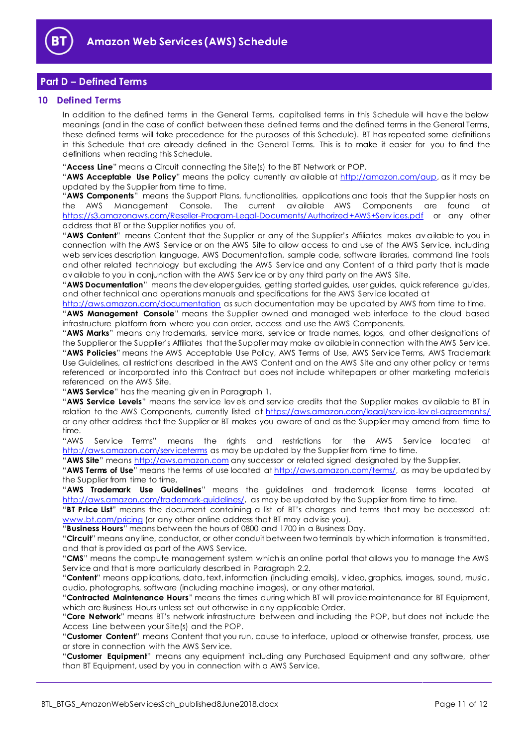

# <span id="page-10-0"></span>**Part D – Defined Terms**

#### <span id="page-10-1"></span>**10 Defined Terms**

In addition to the defined terms in the General Terms, capitalised terms in this Schedule will hav e the below meanings (and in the case of conflict between these defined terms and the defined terms in the General Terms, these defined terms will take precedence for the purposes of this Schedule). BT has repeated some definitions in this Schedule that are already defined in the General Terms. This is to make it easier for you to find the definitions when reading this Schedule.

"**Access Line**" means a Circuit connecting the Site(s) to the BT Network or POP.

"**AWS Acceptable Use Policy**" means the policy currently av ailable at [http://amazon.com/aup,](http://amazon.com/aup) as it may be updated by the Supplier from time to time.

"**AWS Components**" means the Support Plans, functionalities, applications and tools that the Supplier hosts on the AWS Management Console. The current av ailable AWS Components are found at [https://s3.amazonaws.com/Reseller-Program-Legal-Documents/Authorized+AWS+Serv ices.pdf](https://s3.amazonaws.com/Reseller-Program-Legal-Documents/Authorized+AWS+Services.pdf) or any other address that BT or the Supplier notifies you of.

"**AWS Content**" means Content that the Supplier or any of the Supplier's Affiliates makes av ailable to you in connection with the AWS Serv ice or on the AWS Site to allow access to and use of the AWS Serv ice, including web serv ices description language, AWS Documentation, sample code, software libraries, command line tools and other related technology but excluding the AWS Serv ice and any Content of a third party that is made av ailable to you in conjunction with the AWS Serv ice or by any third party on the AWS Site.

"**AWS Documentation**" means the dev eloper guides, getting started guides, user guides, quick reference guides, and other technical and operations manuals and specifications for the AWS Serv ice located at

<http://aws.amazon.com/documentation> as such documentation may be updated by AWS from time to time.

"**AWS Management Console**" means the Supplier owned and managed web interface to the cloud based infrastructure platform from where you can order, access and use the AWS Components.

"**AWS Marks**" means any trademarks, serv ice marks, serv ice or trade names, logos, and other designations of the Supplier or the Supplier's Affiliates that the Supplier may make av ailable in connection with the AWS Serv ice. "**AWS Policies**" means the AWS Acceptable Use Policy, AWS Terms of Use, AWS Serv ice Terms, AWS Trademark Use Guidelines, all restrictions described in the AWS Content and on the AWS Site and any other policy or terms referenced or incorporated into this Contract but does not include whitepapers or other marketing materials referenced on the AWS Site.

"**AWS Service**" has the meaning giv en in Paragraph [1.](#page-1-3)

"**AWS Service Levels**" means the serv ice lev els and serv ice credits that the Supplier makes av ailable to BT in relation to the AWS Components, currently listed at https://aws.amazon.com/legal/service-lev el-agreements/ or any other address that the Supplier or BT makes you aware of and as the Supplier may amend from time to time.

"AWS Service Terms" means the rights and restrictions for the AWS Service located at http://aws.amazon.com/serviceterms</u> as may be updated by the Supplier from time to time.

"**AWS Site**" means [http://aws.amazon.com](http://aws.amazon.com/) any successor or related signed designated by the Supplier.

"**AWS Terms of Use**" means the terms of use located a[t http://aws.amazon.com/terms/,](http://aws.amazon.com/terms/) as may be updated by the Supplier from time to time.

"**AWS Trademark Use Guidelines**" means the guidelines and trademark license terms located at [http://aws.amazon.com/trademark-guidelines/,](http://aws.amazon.com/trademark-guidelines/) as may be updated by the Supplier from time to time.

"**BT Price List**" means the document containing a list of BT's charges and terms that may be accessed at: [www.bt.com/pricing](http://www.bt.com/pricing) (or any other online address that BT may adv ise you).

"**Business Hours**" means between the hours of 0800 and 1700 in a Business Day.

"**Circuit**" means any line, conductor, or other conduit between two terminals by which information is transmitted, and that is prov ided as part of the AWS Serv ice.

"**CMS**" means the compute management system which is an online portal that allows you to manage the AWS Serv ice and that is more particularly described in Paragraph [2.2.](#page-1-8)

"**Content**" means applications, data, text, information (including emails), v ideo, graphics, images, sound, music, audio, photographs, software (including machine images), or any other material.

"**Contracted Maintenance Hours**" means the times during which BT will prov ide maintenance for BT Equipment, which are Business Hours unless set out otherwise in any applicable Order.

"**Core Network**" means BT's network infrastructure between and including the POP, but does not include the Access Line between your Site(s) and the POP.

"**Customer Content**" means Content that you run, cause to interface, upload or otherwise transfer, process, use or store in connection with the AWS Serv ice.

"**Customer Equipment**" means any equipment including any Purchased Equipment and any software, other than BT Equipment, used by you in connection with a AWS Serv ice.